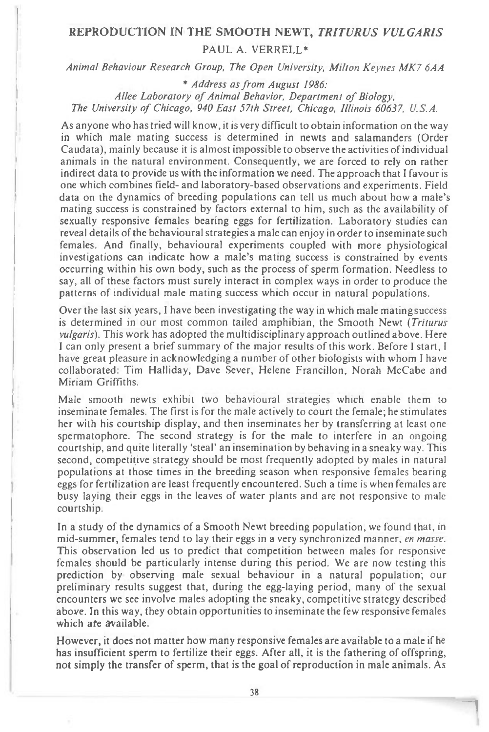## **REPRODUCTION IN THE SMOOTH NEWT,** *TRITURUS VULGARIS*  PAUL A. VERRELL\*

Animal Behaviour Research Group, The Open University, Milton Keynes MK7 6AA

\* Address as from August 1986: Allee Laboratory of Animal Behavior, Department of Biology, The University of Chicago, 940 East 57th Street, Chicago, Illinois 60637, U.S.A.

As anyone who has tried will know, it is very difficult to obtain information on the way in which male mating success is determined in newts and salamanders (Order Caudata), mainly because it is almost impossible to observe the activities of individual animals in the natural environment. Consequently, we are forced to rely on rather indirect data to provide us with the information we need. The approach that I favour is one which combines field- and laboratory-based observations and experiments. Field data on the dynamics of breeding populations can tell us much about how a male's mating success is constrained by factors external to him, such as the availability of sexually responsive females bearing eggs for fertilization. Laboratory studies can reveal details of the behavioural strategies a male can enjoy in order to inseminate such females. And finally, behavioural experiments coupled with more physiological investigations can indicate how a male's mating success is constrained by events occurring within his own body, such as the process of sperm formation. Needless to say, all of these factors must surely interact in complex ways in order to produce the patterns of individual male mating success which occur in natural populations.

Over the last six years, I have been investigating the way in which male mating success is determined in our most common tailed amphibian, the Smooth Newt (Triturus vulgaris). This work has adopted the multidisciplinary approach outlined above. Here I can only present a brief summary of the major results of this work. Before I start, I have great pleasure in acknowledging a number of other biologists with whom I have collaborated: Tim Halliday, Dave Sever, Helene Francillon, Norah McCabe and Miriam Griffiths.

Male smooth newts exhibit two behavioural strategies which enable them to inseminate females. The first is for the male actively to court the female; he stimulates her with his courtship display, and then inseminates her by transferring at least one spermatophore. The second strategy is for the male to interfere in an ongoing courtship, and quite literally 'steal' an insemination by behaving in a sneaky way. This second, competitive strategy should be most frequently adopted by males in natural populations at those times in the breeding season when responsive females bearing eggs for fertilization are least frequently encountered. Such a time is when females are busy laying their eggs in the leaves of water plants and are not responsive to male courtship.

In a study of the dynamics of a Smooth Newt breeding population, we found that, in mid-summer, females tend to lay their eggs in a very synchronized manner, *en masse*. This observation led us to predict that competition between males for responsive females should be particularly intense during this period. We are now testing this prediction by observing male sexual behaviour in a natural population; our preliminary results suggest that, during the egg-laying period, many of the sexual encounters we see involve males adopting the sneaky, competitive strategy described above. In this way, they obtain opportunities to inseminate the few responsive females which ate *available.* 

However, it does not matter how many responsive females are available to a male if he has insufficient sperm to fertilize their eggs. After all, it is the fathering of offspring, not simply the transfer of sperm, that is the goal of reproduction in male animals. As